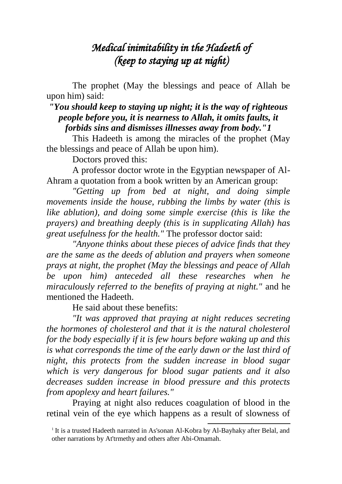# *Medical inimitability in the Hadeeth of (keep to staying up at night)*

The prophet (May the blessings and peace of Allah be upon him) said:

## *"You should keep to staying up night; it is the way of righteous people before you, it is nearness to Allah, it omits faults, it forbids sins and dismisses illnesses away from body."1*

This Hadeeth is among the miracles of the prophet (May the blessings and peace of Allah be upon him).

Doctors proved this:

A professor doctor wrote in the Egyptian newspaper of Al-Ahram a quotation from a book written by an American group:

*"Getting up from bed at night, and doing simple movements inside the house, rubbing the limbs by water (this is like ablution), and doing some simple exercise (this is like the prayers) and breathing deeply (this is in supplicating Allah) has great usefulness for the health."* The professor doctor said:

*"Anyone thinks about these pieces of advice finds that they are the same as the deeds of ablution and prayers when someone prays at night, the prophet (May the blessings and peace of Allah be upon him) anteceded all these researches when he miraculously referred to the benefits of praying at night."* and he mentioned the Hadeeth.

He said about these benefits:

*"It was approved that praying at night reduces secreting the hormones of cholesterol and that it is the natural cholesterol for the body especially if it is few hours before waking up and this is what corresponds the time of the early dawn or the last third of night, this protects from the sudden increase in blood sugar which is very dangerous for blood sugar patients and it also decreases sudden increase in blood pressure and this protects from apoplexy and heart failures."*

Praying at night also reduces coagulation of blood in the retinal vein of the eye which happens as a result of slowness of

1

<sup>&</sup>lt;sup>1</sup> It is a trusted Hadeeth narrated in As'sonan Al-Kobra by Al-Bayhaky after Belal, and other narrations by At'trmethy and others after Abi-Omamah.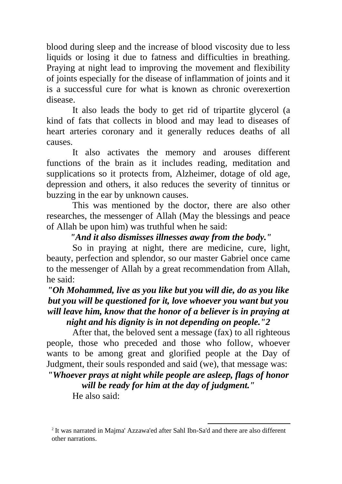blood during sleep and the increase of blood viscosity due to less liquids or losing it due to fatness and difficulties in breathing. Praying at night lead to improving the movement and flexibility of joints especially for the disease of inflammation of joints and it is a successful cure for what is known as chronic overexertion disease.

It also leads the body to get rid of tripartite glycerol (a kind of fats that collects in blood and may lead to diseases of heart arteries coronary and it generally reduces deaths of all causes.

It also activates the memory and arouses different functions of the brain as it includes reading, meditation and supplications so it protects from, Alzheimer, dotage of old age, depression and others, it also reduces the severity of tinnitus or buzzing in the ear by unknown causes.

This was mentioned by the doctor, there are also other researches, the messenger of Allah (May the blessings and peace of Allah be upon him) was truthful when he said:

## *"And it also dismisses illnesses away from the body."*

So in praying at night, there are medicine, cure, light, beauty, perfection and splendor, so our master Gabriel once came to the messenger of Allah by a great recommendation from Allah, he said:

## *"Oh Mohammed, live as you like but you will die, do as you like but you will be questioned for it, love whoever you want but you will leave him, know that the honor of a believer is in praying at night and his dignity is in not depending on people."2*

After that, the beloved sent a message (fax) to all righteous people, those who preceded and those who follow, whoever wants to be among great and glorified people at the Day of Judgment, their souls responded and said (we), that message was:

### *"Whoever prays at night while people are asleep, flags of honor will be ready for him at the day of judgment."*

He also said:

<sup>1</sup> <sup>2</sup> It was narrated in Majma' Azzawa'ed after Sahl Ibn-Sa'd and there are also different other narrations.